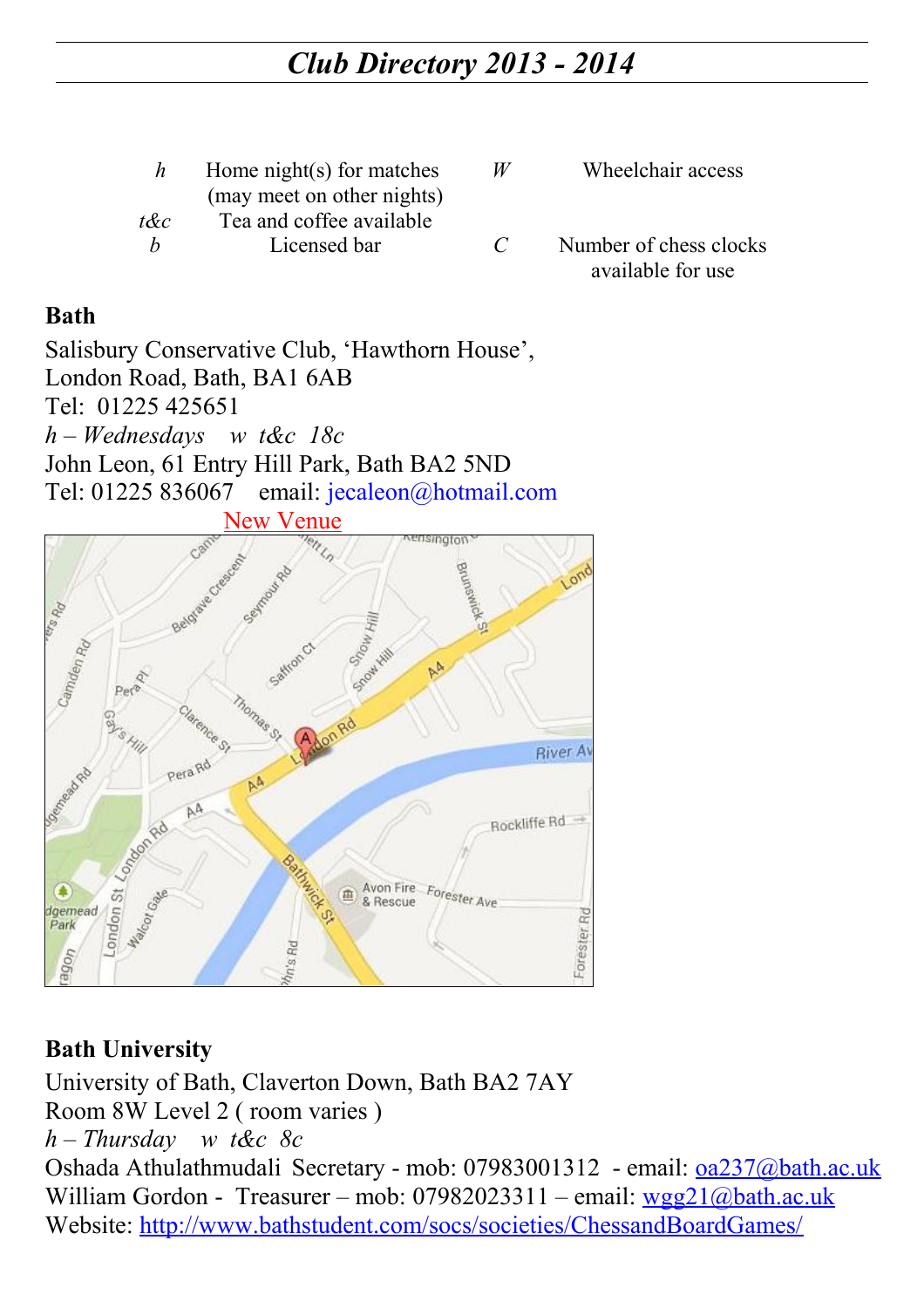| Home night(s) for matches  |
|----------------------------|
| (may meet on other nights) |
| Tea and coffee available   |
| Licensed bar               |
|                            |

- *W* Wheelchair access
- *C* Number of chess clocks available for use

#### **Bath**

Salisbury Conservative Club, 'Hawthorn House', London Road, Bath, BA1 6AB Tel: 01225 425651 *h – Wednesdays w t&c 18c* John Leon, 61 Entry Hill Park, Bath BA2 5ND Tel: 01225 836067 email: [jecaleon@hotmail.com](mailto:jecaleon@hotmail.com) New Venue



## **Bath University**

University of Bath, Claverton Down, Bath BA2 7AY Room 8W Level 2 ( room varies ) *h – Thursday w t&c 8c* Oshada Athulathmudali Secretary - mob: 07983001312 - email: [oa237@bath.ac.uk](mailto:oa237@bath.ac.uk) William Gordon - Treasurer – mob:  $07982023311$  – email: [wgg21@bath.ac.uk](mailto:wgg21@bath.ac.uk)

Website:<http://www.bathstudent.com/socs/societies/ChessandBoardGames/>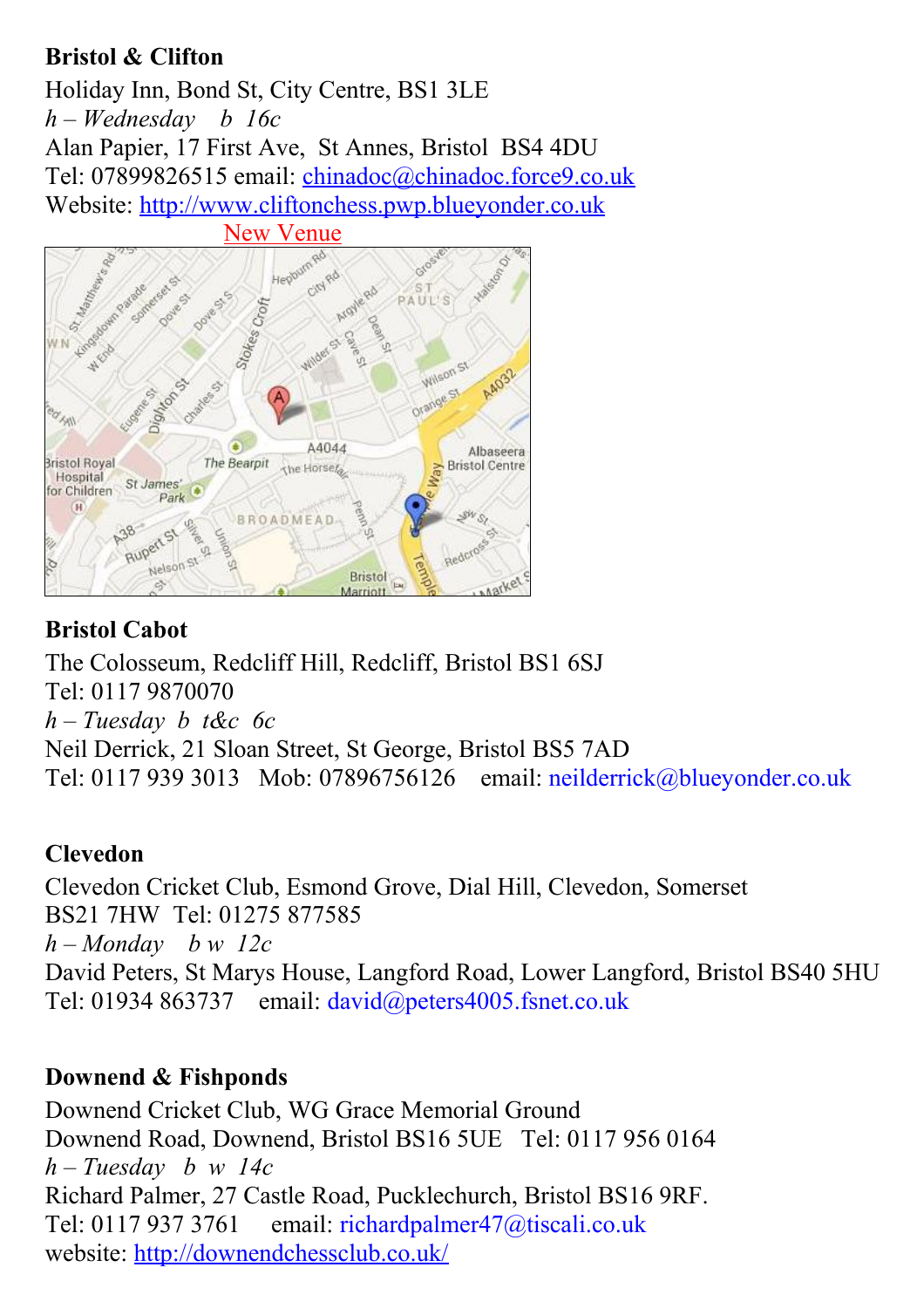## **Bristol & Clifton**

Holiday Inn, Bond St, City Centre, BS1 3LE *h – Wednesday b 16c* Alan Papier, 17 First Ave, St Annes, Bristol BS4 4DU Tel: 07899826515 email: [chinadoc@chinadoc.force9.co.uk](file:///C:/July%202012%20New/Website/Chessit/Fixtures/2013/chinadoc@chinadoc.force9.co.uk) Website: [http://www.cliftonchess.pwp.blueyonder.co.uk](http://www.cliftonchess.pwp.blueyonder.co.uk/)



# **Bristol Cabot**

The Colosseum, Redcliff Hill, Redcliff, Bristol BS1 6SJ Tel: 0117 9870070 *h – Tuesday b t&c 6c* Neil Derrick, 21 Sloan Street, St George, Bristol BS5 7AD Tel: 0117 939 3013 Mob: 07896756126 email: [neilderrick@blueyonder.co.uk](mailto:neilderrick@blueyonder.co.uk)

## **Clevedon**

Clevedon Cricket Club, Esmond Grove, Dial Hill, Clevedon, Somerset BS21 7HW Tel: 01275 877585 *h – Monday b w 12c* David Peters, St Marys House, Langford Road, Lower Langford, Bristol BS40 5HU Tel: 01934 863737 email: [david@peters4005.fsnet.co.uk](mailto:david@peters4005.fsnet.co.uk)

## **Downend & Fishponds**

Downend Cricket Club, WG Grace Memorial Ground Downend Road, Downend, Bristol BS16 5UE Tel: 0117 956 0164 *h – Tuesday b w 14c* Richard Palmer, 27 Castle Road, Pucklechurch, Bristol BS16 9RF. Tel: 0117 937 3761 email: richardpalmer47@tiscali.co.uk website:<http://downendchessclub.co.uk/>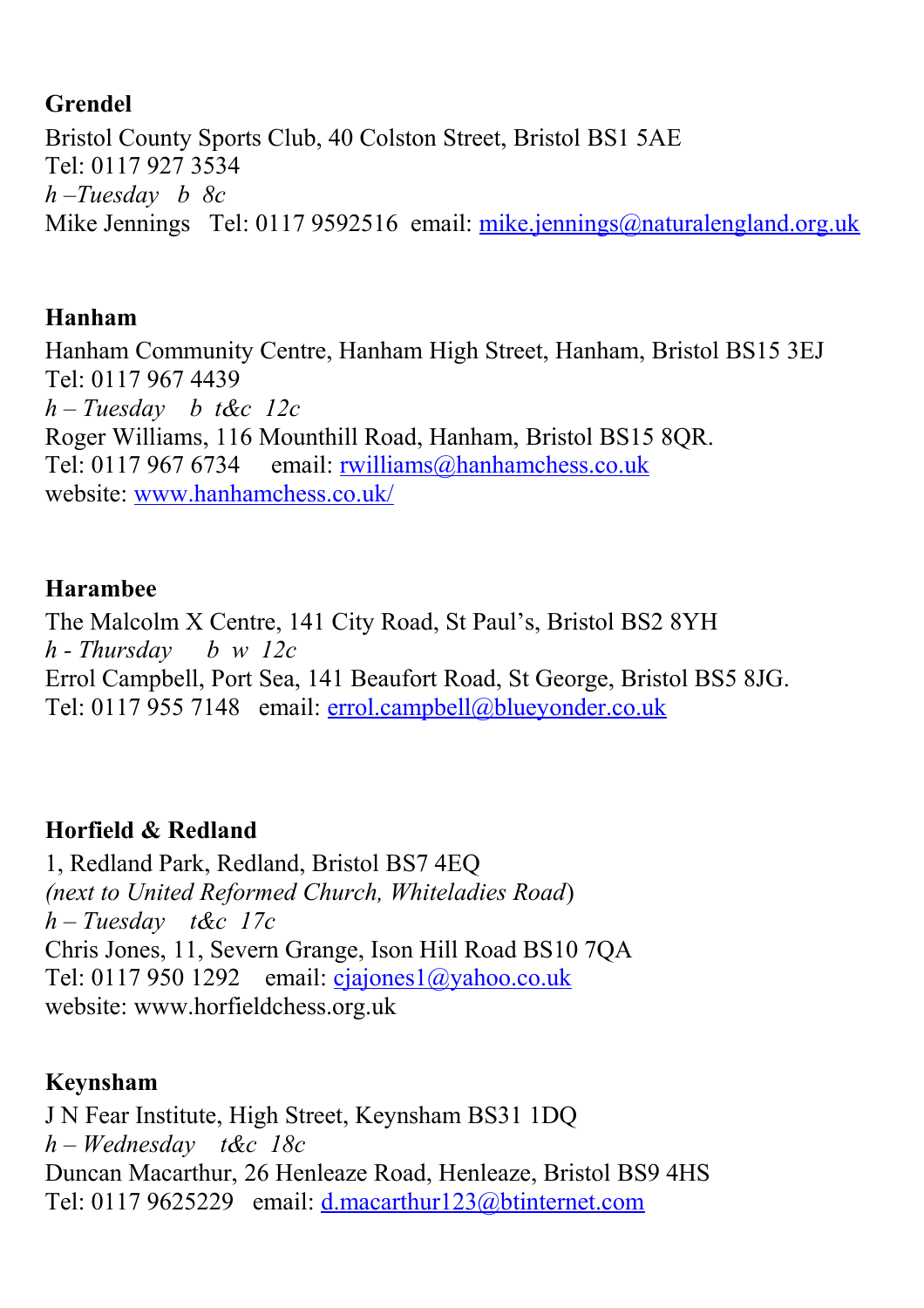#### **Grendel**

Bristol County Sports Club, 40 Colston Street, Bristol BS1 5AE Tel: 0117 927 3534 *h –Tuesday b 8c* Mike Jennings Tel: 0117 9592516 email: [mike.jennings@naturalengland.org.uk](file:///C:/July%202012%20New/Website/Chessit/Fixtures/2013/mike.jennings@naturalengland.org.uk)

#### **Hanham**

Hanham Community Centre, Hanham High Street, Hanham, Bristol BS15 3EJ Tel: 0117 967 4439 *h – Tuesday b t&c 12c* Roger Williams, 116 Mounthill Road, Hanham, Bristol BS15 8QR. Tel: 0117 967 6734 email: [rwilliams@hanhamchess.co.uk](file:///C:/July%202012%20New/Website/Chessit/Fixtures/2013/rwilliams@hanhamchess.co.uk) website: [www.hanhamchess.co.uk/](file:///C:/July%202012%20New/Website/Chessit/Fixtures/2013/www.hanhamchess.co.uk/)

#### **Harambee**

The Malcolm X Centre, 141 City Road, St Paul's, Bristol BS2 8YH *h - Thursday b w 12c* Errol Campbell, Port Sea, 141 Beaufort Road, St George, Bristol BS5 8JG. Tel: 0117 955 7148 email: [errol.campbell@blueyonder.co.uk](file:///C:/July%202012%20New/Website/Chessit/Fixtures/2013/errol.campbell@blueyonder.co.uk)

## **Horfield & Redland**

1, Redland Park, Redland, Bristol BS7 4EQ *(next to United Reformed Church, Whiteladies Road*) *h – Tuesday t&c 17c* Chris Jones, 11, Severn Grange, Ison Hill Road BS10 7QA Tel: 0117 950 1292 email: [cjajones1@yahoo.co.uk](file:///C:/July%202012%20New/Website/Chessit/Fixtures/2013/cjajones1@yahoo.co.uk) website: www.horfieldchess.org.uk

## **Keynsham**

J N Fear Institute, High Street, Keynsham BS31 1DQ *h – Wednesday t&c 18c* Duncan Macarthur, 26 Henleaze Road, Henleaze, Bristol BS9 4HS Tel: 0117 9625229 email: [d.macarthur123@btinternet.com](mailto:d.macarthur123@btinternet.com)